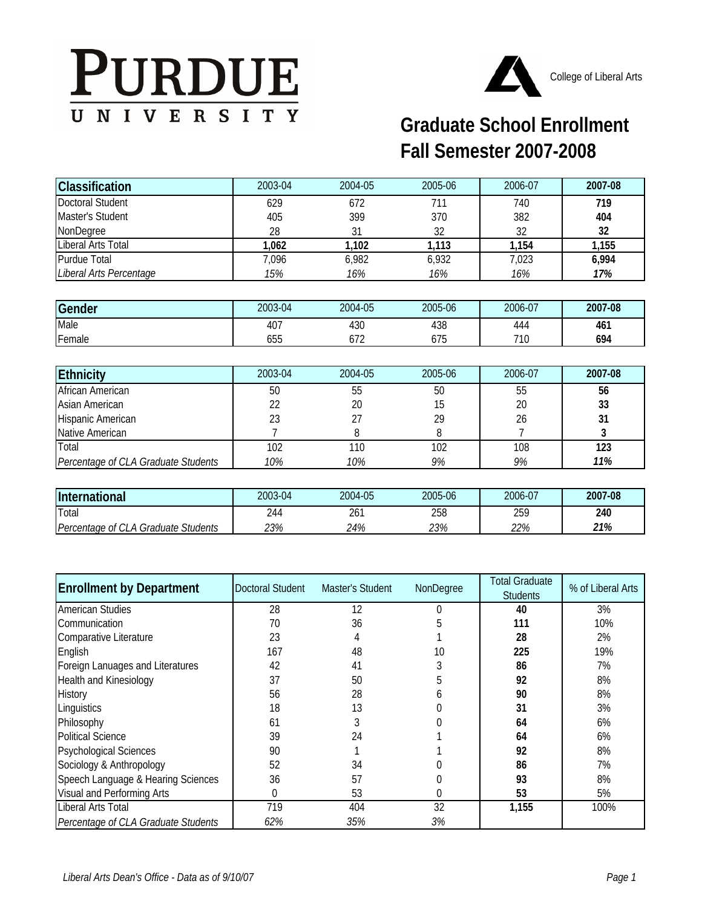## PURDUE UNIVERSITY



## **Graduate School Enrollment Fall Semester 2007-2008**

| <b>Classification</b>   | 2003-04 | 2004-05 | 2005-06 | 2006-07 | 2007-08 |
|-------------------------|---------|---------|---------|---------|---------|
| Doctoral Student        | 629     | 672     | 711     | 740     | 719     |
| Master's Student        | 405     | 399     | 370     | 382     | 404     |
| NonDegree               | 28      | 31      | 32      | 32      | 32      |
| Liberal Arts Total      | 1,062   | 1.102   | 1,113   | 1,154   | 1,155   |
| Purdue Total            | 7,096   | 6.982   | 6,932   | 7,023   | 6,994   |
| Liberal Arts Percentage | 15%     | 16%     | 16%     | 16%     | 17%     |

| Gender | 2003-04 | 2004-05                          | 2005-06                | 2006-07 | 2007-08 |
|--------|---------|----------------------------------|------------------------|---------|---------|
| Male   | 407     | 430                              | 438                    | 444     | 461     |
| Female | 655     | $\overline{\phantom{a}}$<br>01 L | 7 <sub>5</sub><br>07 D | 710     | 694     |

| Ethnicity                           | 2003-04 | 2004-05 | 2005-06 | 2006-07 | 2007-08 |
|-------------------------------------|---------|---------|---------|---------|---------|
| African American                    | 50      | 55      | 50      | 55      | 56      |
| Asian American                      | 22      | 20      | 15      | 20      | 33      |
| Hispanic American                   | 23      |         | 29      | 26      | 31      |
| Native American                     |         |         |         |         |         |
| Total                               | 102     | 110     | 102     | 108     | 123     |
| Percentage of CLA Graduate Students | 10%     | 10%     | 9%      | 9%      | 11%     |

| International                       | 2003-04 | 2004-05 | 2005-06 | 2006-07 | 2007-08 |
|-------------------------------------|---------|---------|---------|---------|---------|
| Total                               | 244     | 261     | 258     | 259     | 240     |
| Percentage of CLA Graduate Students | 23%     | 24%     | 23%     | 22%     | 21%     |

| <b>Enrollment by Department</b>     | <b>Doctoral Student</b> | <b>Master's Student</b> | NonDegree | <b>Total Graduate</b><br><b>Students</b> | % of Liberal Arts |
|-------------------------------------|-------------------------|-------------------------|-----------|------------------------------------------|-------------------|
| <b>American Studies</b>             | 28                      | 12                      | 0         | 40                                       | 3%                |
| Communication                       | 70                      | 36                      | 5         | 111                                      | 10%               |
| Comparative Literature              | 23                      | 4                       |           | 28                                       | 2%                |
| English                             | 167                     | 48                      | 10        | 225                                      | 19%               |
| Foreign Lanuages and Literatures    | 42                      | 41                      |           | 86                                       | 7%                |
| <b>Health and Kinesiology</b>       | 37                      | 50                      |           | 92                                       | 8%                |
| History                             | 56                      | 28                      | h         | 90                                       | 8%                |
| Linguistics                         | 18                      | 13                      |           | 31                                       | 3%                |
| Philosophy                          | 61                      |                         |           | 64                                       | 6%                |
| <b>Political Science</b>            | 39                      | 24                      |           | 64                                       | 6%                |
| <b>Psychological Sciences</b>       | 90                      |                         |           | 92                                       | 8%                |
| Sociology & Anthropology            | 52                      | 34                      |           | 86                                       | 7%                |
| Speech Language & Hearing Sciences  | 36                      | 57                      |           | 93                                       | 8%                |
| Visual and Performing Arts          | 0                       | 53                      | 0         | 53                                       | 5%                |
| Liberal Arts Total                  | 719                     | 404                     | 32        | 1,155                                    | 100%              |
| Percentage of CLA Graduate Students | 62%                     | 35%                     | 3%        |                                          |                   |